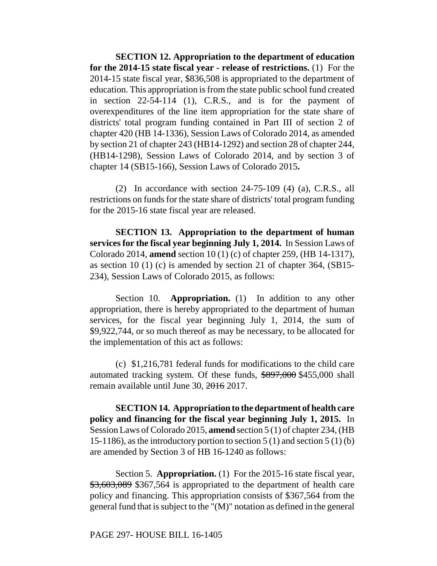**SECTION 12. Appropriation to the department of education for the 2014-15 state fiscal year - release of restrictions.** (1) For the 2014-15 state fiscal year, \$836,508 is appropriated to the department of education. This appropriation is from the state public school fund created in section 22-54-114 (1), C.R.S., and is for the payment of overexpenditures of the line item appropriation for the state share of districts' total program funding contained in Part III of section 2 of chapter 420 (HB 14-1336), Session Laws of Colorado 2014, as amended by section 21 of chapter 243 (HB14-1292) and section 28 of chapter 244, (HB14-1298), Session Laws of Colorado 2014, and by section 3 of chapter 14 (SB15-166), Session Laws of Colorado 2015**.**

(2)In accordance with section 24-75-109 (4) (a), C.R.S., all restrictions on funds for the state share of districts' total program funding for the 2015-16 state fiscal year are released.

**SECTION 13. Appropriation to the department of human services for the fiscal year beginning July 1, 2014.** In Session Laws of Colorado 2014, **amend** section 10 (1) (c) of chapter 259, (HB 14-1317), as section 10 (1) (c) is amended by section 21 of chapter 364, (SB15- 234), Session Laws of Colorado 2015, as follows:

Section 10. **Appropriation.** (1) In addition to any other appropriation, there is hereby appropriated to the department of human services, for the fiscal year beginning July 1, 2014, the sum of \$9,922,744, or so much thereof as may be necessary, to be allocated for the implementation of this act as follows:

(c) \$1,216,781 federal funds for modifications to the child care automated tracking system. Of these funds, \$897,000 \$455,000 shall remain available until June 30, 2016 2017.

**SECTION 14. Appropriation to the department of health care policy and financing for the fiscal year beginning July 1, 2015.** In Session Laws of Colorado 2015, **amend** section 5 (1) of chapter 234, (HB 15-1186), as the introductory portion to section 5 (1) and section 5 (1) (b) are amended by Section 3 of HB 16-1240 as follows:

Section 5. **Appropriation.** (1) For the 2015-16 state fiscal year, \$3,603,089 \$367,564 is appropriated to the department of health care policy and financing. This appropriation consists of \$367,564 from the general fund that is subject to the "(M)" notation as defined in the general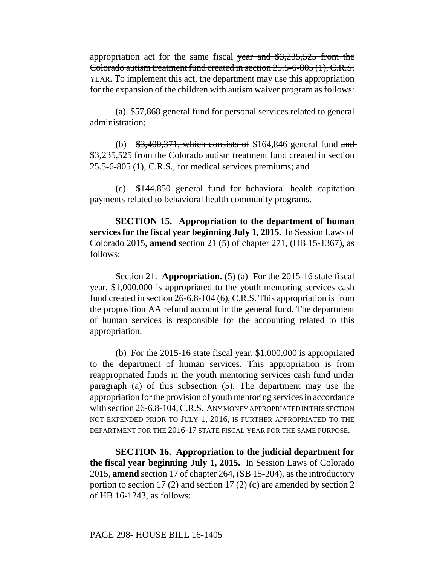appropriation act for the same fiscal year and \$3,235,525 from the Colorado autism treatment fund created in section 25.5-6-805 (1), C.R.S. YEAR. To implement this act, the department may use this appropriation for the expansion of the children with autism waiver program as follows:

(a) \$57,868 general fund for personal services related to general administration;

(b)  $\frac{$3,400,371}{4,600,371}$ , which consists of \$164,846 general fund and \$3,235,525 from the Colorado autism treatment fund created in section 25.5-6-805 (1), C.R.S., for medical services premiums; and

(c) \$144,850 general fund for behavioral health capitation payments related to behavioral health community programs.

**SECTION 15. Appropriation to the department of human services for the fiscal year beginning July 1, 2015.** In Session Laws of Colorado 2015, **amend** section 21 (5) of chapter 271, (HB 15-1367), as follows:

Section 21. **Appropriation.** (5) (a) For the 2015-16 state fiscal year, \$1,000,000 is appropriated to the youth mentoring services cash fund created in section 26-6.8-104 (6), C.R.S. This appropriation is from the proposition AA refund account in the general fund. The department of human services is responsible for the accounting related to this appropriation.

(b) For the 2015-16 state fiscal year, \$1,000,000 is appropriated to the department of human services. This appropriation is from reappropriated funds in the youth mentoring services cash fund under paragraph (a) of this subsection (5). The department may use the appropriation for the provision of youth mentoring services in accordance with section 26-6.8-104, C.R.S. ANY MONEY APPROPRIATED IN THIS SECTION NOT EXPENDED PRIOR TO JULY 1, 2016, IS FURTHER APPROPRIATED TO THE DEPARTMENT FOR THE 2016-17 STATE FISCAL YEAR FOR THE SAME PURPOSE.

**SECTION 16. Appropriation to the judicial department for the fiscal year beginning July 1, 2015.** In Session Laws of Colorado 2015, **amend** section 17 of chapter 264, (SB 15-204), as the introductory portion to section 17 (2) and section 17 (2) (c) are amended by section 2 of HB 16-1243, as follows: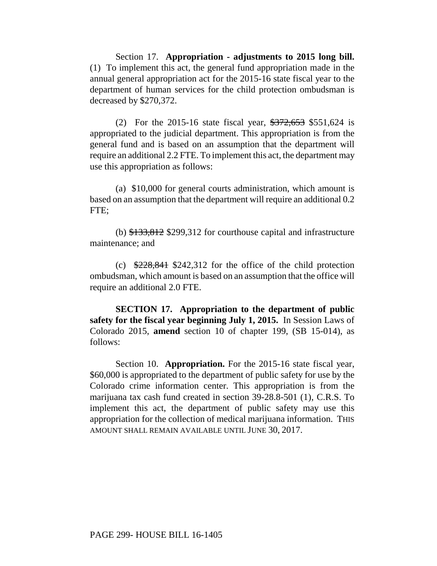Section 17. **Appropriation - adjustments to 2015 long bill.** (1) To implement this act, the general fund appropriation made in the annual general appropriation act for the 2015-16 state fiscal year to the department of human services for the child protection ombudsman is decreased by \$270,372.

(2) For the 2015-16 state fiscal year, \$372,653 \$551,624 is appropriated to the judicial department. This appropriation is from the general fund and is based on an assumption that the department will require an additional 2.2 FTE. To implement this act, the department may use this appropriation as follows:

(a) \$10,000 for general courts administration, which amount is based on an assumption that the department will require an additional 0.2 FTE;

(b) \$133,812 \$299,312 for courthouse capital and infrastructure maintenance; and

(c)  $\frac{$228,841}{$242,312}$  for the office of the child protection ombudsman, which amount is based on an assumption that the office will require an additional 2.0 FTE.

**SECTION 17. Appropriation to the department of public safety for the fiscal year beginning July 1, 2015.** In Session Laws of Colorado 2015, **amend** section 10 of chapter 199, (SB 15-014), as follows:

Section 10. **Appropriation.** For the 2015-16 state fiscal year, \$60,000 is appropriated to the department of public safety for use by the Colorado crime information center. This appropriation is from the marijuana tax cash fund created in section 39-28.8-501 (1), C.R.S. To implement this act, the department of public safety may use this appropriation for the collection of medical marijuana information. THIS AMOUNT SHALL REMAIN AVAILABLE UNTIL JUNE 30, 2017.